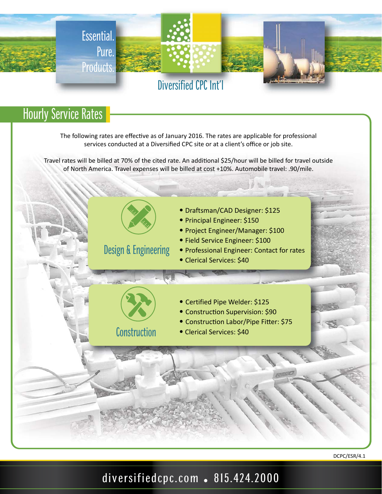

## **Hourly Service Rates**

The following rates are effective as of January 2016. The rates are applicable for professional services conducted at a Diversified CPC site or at a client's office or job site.

Travel rates will be billed at 70% of the cited rate. An additional \$25/hour will be billed for travel outside of North America. Travel expenses will be billed at cost +10%. Automobile travel: .90/mile.



DCPC/ESR/4.1

diversifiedcpc.com . 815.424.2000